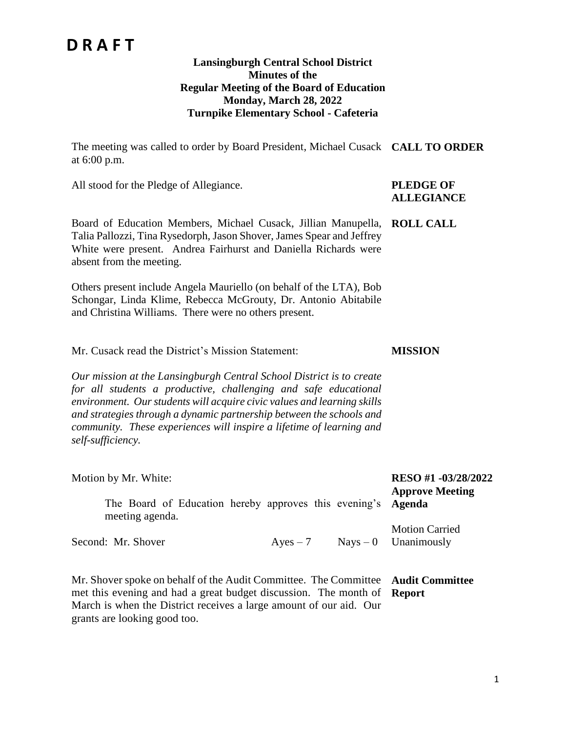### **Lansingburgh Central School District Minutes of the Regular Meeting of the Board of Education Monday, March 28, 2022 Turnpike Elementary School - Cafeteria**

The meeting was called to order by Board President, Michael Cusack **CALL TO ORDER** at 6:00 p.m.

All stood for the Pledge of Allegiance. **PLEDGE OF** 

# **ALLEGIANCE**

Board of Education Members, Michael Cusack, Jillian Manupella, **ROLL CALL** Talia Pallozzi, Tina Rysedorph, Jason Shover, James Spear and Jeffrey White were present. Andrea Fairhurst and Daniella Richards were absent from the meeting.

Others present include Angela Mauriello (on behalf of the LTA), Bob Schongar, Linda Klime, Rebecca McGrouty, Dr. Antonio Abitabile and Christina Williams. There were no others present.

Mr. Cusack read the District's Mission Statement: **MISSION**

*Our mission at the Lansingburgh Central School District is to create for all students a productive, challenging and safe educational environment. Our students will acquire civic values and learning skills and strategies through a dynamic partnership between the schools and community. These experiences will inspire a lifetime of learning and self-sufficiency.*

| Motion by Mr. White:                                                             |            | RESO #1 -03/28/2022<br><b>Approve Meeting</b>   |
|----------------------------------------------------------------------------------|------------|-------------------------------------------------|
| The Board of Education hereby approves this evening's Agenda<br>meeting agenda.  |            |                                                 |
| Second: Mr. Shover                                                               | $Ayes - 7$ | <b>Motion Carried</b><br>$Nays - 0$ Unanimously |
| Mr. Shover spoke on behalf of the Audit Committee. The Committee Audit Committee |            |                                                 |

met this evening and had a great budget discussion. The month of **Report**March is when the District receives a large amount of our aid. Our grants are looking good too.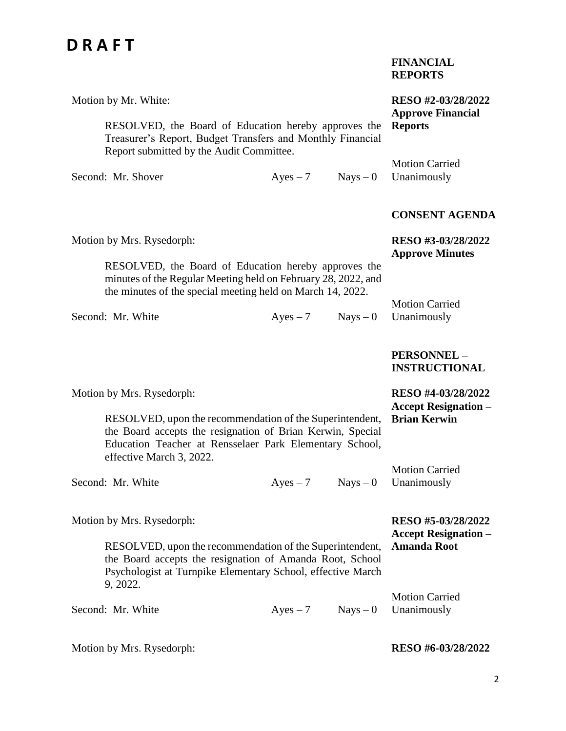|                                                                                                                                                                                                                                            |            |            | <b>FINANCIAL</b><br><b>REPORTS</b>                                       |
|--------------------------------------------------------------------------------------------------------------------------------------------------------------------------------------------------------------------------------------------|------------|------------|--------------------------------------------------------------------------|
| Motion by Mr. White:<br>RESOLVED, the Board of Education hereby approves the<br>Treasurer's Report, Budget Transfers and Monthly Financial<br>Report submitted by the Audit Committee.                                                     |            |            | RESO #2-03/28/2022<br><b>Approve Financial</b><br><b>Reports</b>         |
| Second: Mr. Shover                                                                                                                                                                                                                         | $Ayes - 7$ | $Nays - 0$ | <b>Motion Carried</b><br>Unanimously                                     |
|                                                                                                                                                                                                                                            |            |            | <b>CONSENT AGENDA</b>                                                    |
| Motion by Mrs. Rysedorph:                                                                                                                                                                                                                  |            |            | RESO #3-03/28/2022<br><b>Approve Minutes</b>                             |
| RESOLVED, the Board of Education hereby approves the<br>minutes of the Regular Meeting held on February 28, 2022, and<br>the minutes of the special meeting held on March 14, 2022.                                                        |            |            | <b>Motion Carried</b>                                                    |
| Second: Mr. White                                                                                                                                                                                                                          | $Ayes - 7$ | $Nays - 0$ | Unanimously                                                              |
|                                                                                                                                                                                                                                            |            |            | PERSONNEL-<br><b>INSTRUCTIONAL</b>                                       |
| Motion by Mrs. Rysedorph:<br>RESOLVED, upon the recommendation of the Superintendent,<br>the Board accepts the resignation of Brian Kerwin, Special<br>Education Teacher at Rensselaer Park Elementary School,<br>effective March 3, 2022. |            |            | RESO #4-03/28/2022<br><b>Accept Resignation -</b><br><b>Brian Kerwin</b> |
| Second: Mr. White                                                                                                                                                                                                                          | $Ayes - 7$ | $Nays - 0$ | <b>Motion Carried</b><br>Unanimously                                     |
| Motion by Mrs. Rysedorph:<br>RESOLVED, upon the recommendation of the Superintendent,<br>the Board accepts the resignation of Amanda Root, School<br>Psychologist at Turnpike Elementary School, effective March<br>9, 2022.               |            |            | RESO #5-03/28/2022<br><b>Accept Resignation –</b><br><b>Amanda Root</b>  |

Second: Mr. White  $Ayes-7$  Nays – 0 Motion Carried Unanimously

### **RESO #6-03/28/2022**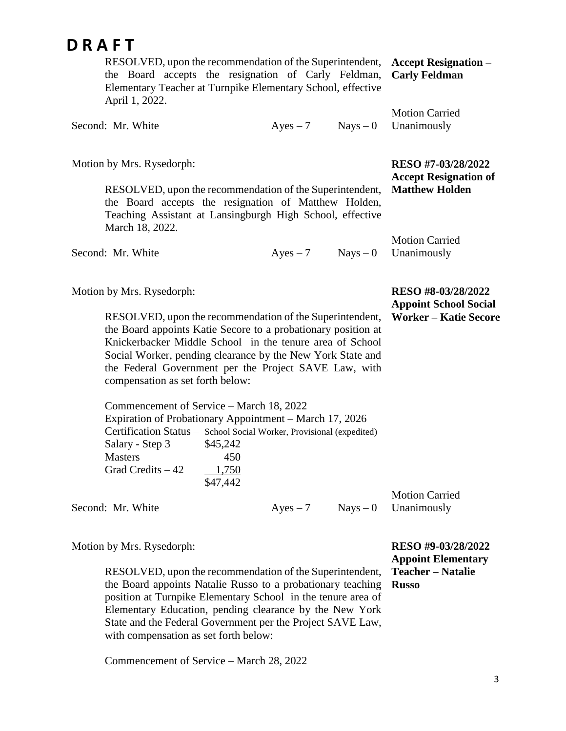3

| DRAFT                                                                                                                                                                                                                                                                                                                                                                         |            |            |                                                                                    |
|-------------------------------------------------------------------------------------------------------------------------------------------------------------------------------------------------------------------------------------------------------------------------------------------------------------------------------------------------------------------------------|------------|------------|------------------------------------------------------------------------------------|
| RESOLVED, upon the recommendation of the Superintendent,<br>the Board accepts the resignation of Carly Feldman,<br>Elementary Teacher at Turnpike Elementary School, effective<br>April 1, 2022.                                                                                                                                                                              |            |            | <b>Accept Resignation –</b><br><b>Carly Feldman</b>                                |
| Second: Mr. White                                                                                                                                                                                                                                                                                                                                                             | $Ayes - 7$ | $Nays - 0$ | <b>Motion Carried</b><br>Unanimously                                               |
| Motion by Mrs. Rysedorph:<br>RESOLVED, upon the recommendation of the Superintendent,<br>the Board accepts the resignation of Matthew Holden,<br>Teaching Assistant at Lansingburgh High School, effective                                                                                                                                                                    |            |            | RESO #7-03/28/2022<br><b>Accept Resignation of</b><br><b>Matthew Holden</b>        |
| March 18, 2022.<br>Second: Mr. White                                                                                                                                                                                                                                                                                                                                          | $Ayes - 7$ | $Nays - 0$ | <b>Motion Carried</b><br>Unanimously                                               |
| Motion by Mrs. Rysedorph:<br>RESOLVED, upon the recommendation of the Superintendent,<br>the Board appoints Katie Secore to a probationary position at<br>Knickerbacker Middle School in the tenure area of School<br>Social Worker, pending clearance by the New York State and<br>the Federal Government per the Project SAVE Law, with<br>compensation as set forth below: |            |            | RESO #8-03/28/2022<br><b>Appoint School Social</b><br><b>Worker - Katie Secore</b> |
| Commencement of Service – March 18, 2022<br>Expiration of Probationary Appointment - March 17, 2026<br>Certification Status - School Social Worker, Provisional (expedited)                                                                                                                                                                                                   |            |            |                                                                                    |

Second: Mr. White  $Ayes - 7$  Nays – 0

Motion by Mrs. Rysedorph:

Salary - Step 3 \$45,242 Masters 450 Grad Credits  $-42$  1,750

RESOLVED, upon the recommendation of the Superintendent, the Board appoints Natalie Russo to a probationary teaching position at Turnpike Elementary School in the tenure area of Elementary Education, pending clearance by the New York State and the Federal Government per the Project SAVE Law, with compensation as set forth below:

\$47,442

Commencement of Service – March 28, 2022

**RESO #9-03/28/2022 Appoint Elementary Teacher – Natalie Russo**

Motion Carried Unanimously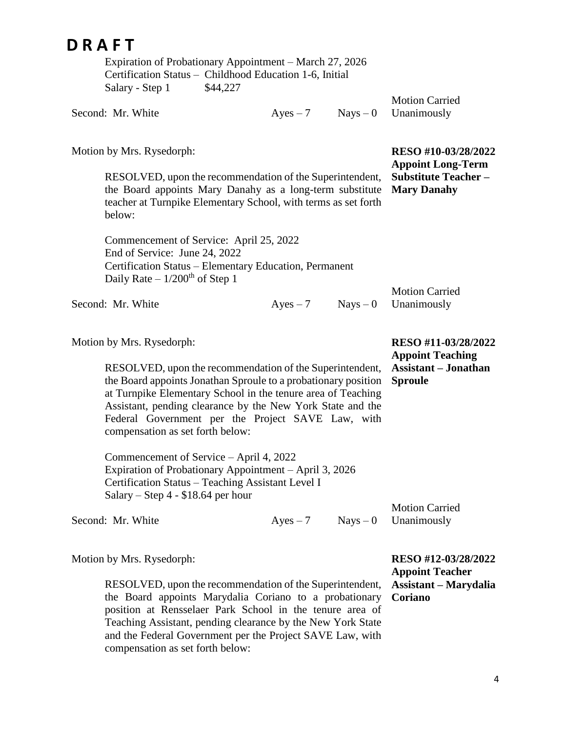|                 | Expiration of Probationary Appointment – March 27, 2026 |
|-----------------|---------------------------------------------------------|
|                 | Certification Status – Childhood Education 1-6, Initial |
| Salary - Step 1 | \$44,227                                                |

|                   |          | <b>Motion Carried</b>  |
|-------------------|----------|------------------------|
| Second: Mr. White | $Ayes-7$ | $Nays - 0$ Unanimously |

Motion by Mrs. Rysedorph:

RESOLVED, upon the recommendation of the Superintendent, the Board appoints Mary Danahy as a long-term substitute teacher at Turnpike Elementary School, with terms as set forth below: **Substitute Teacher – Mary Danahy**

Commencement of Service: April 25, 2022 End of Service: June 24, 2022 Certification Status – Elementary Education, Permanent Daily Rate  $-1/200<sup>th</sup>$  of Step 1

Second: Mr. White  $Ayes - 7$  Nays – 0

Motion by Mrs. Rysedorph:

RESOLVED, upon the recommendation of the Superintendent, the Board appoints Jonathan Sproule to a probationary position at Turnpike Elementary School in the tenure area of Teaching Assistant, pending clearance by the New York State and the Federal Government per the Project SAVE Law, with compensation as set forth below:

Commencement of Service – April 4, 2022 Expiration of Probationary Appointment – April 3, 2026 Certification Status – Teaching Assistant Level I Salary – Step 4 - \$18.64 per hour

Second: Mr. White  $Aves - 7$  Nays – 0

Motion Carried Unanimously

Motion by Mrs. Rysedorph:

RESOLVED, upon the recommendation of the Superintendent, the Board appoints Marydalia Coriano to a probationary position at Rensselaer Park School in the tenure area of Teaching Assistant, pending clearance by the New York State and the Federal Government per the Project SAVE Law, with compensation as set forth below:

**RESO #12-03/28/2022 Appoint Teacher Assistant – Marydalia Coriano**

**RESO #11-03/28/2022 Appoint Teaching Assistant – Jonathan Sproule**

Motion Carried Unanimously

**RESO #10-03/28/2022 Appoint Long-Term**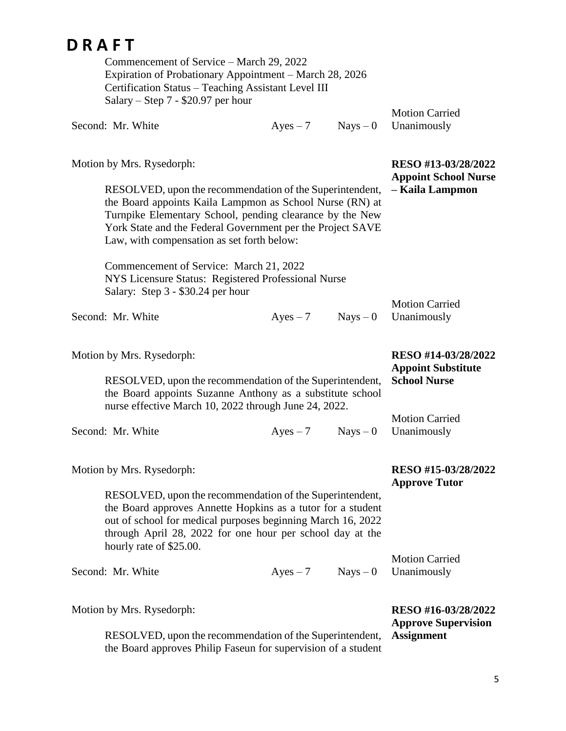| Commencement of Service – March 29, 2022<br>Expiration of Probationary Appointment – March 28, 2026<br>Certification Status - Teaching Assistant Level III<br>Salary – Step $7 - $20.97$ per hour                                                                                                                         |            |            | <b>Motion Carried</b>                                                   |
|---------------------------------------------------------------------------------------------------------------------------------------------------------------------------------------------------------------------------------------------------------------------------------------------------------------------------|------------|------------|-------------------------------------------------------------------------|
| Second: Mr. White                                                                                                                                                                                                                                                                                                         | $Ayes - 7$ | $Nays - 0$ | Unanimously                                                             |
| Motion by Mrs. Rysedorph:<br>RESOLVED, upon the recommendation of the Superintendent,<br>the Board appoints Kaila Lampmon as School Nurse (RN) at<br>Turnpike Elementary School, pending clearance by the New<br>York State and the Federal Government per the Project SAVE<br>Law, with compensation as set forth below: |            |            | RESO #13-03/28/2022<br><b>Appoint School Nurse</b><br>- Kaila Lampmon   |
| Commencement of Service: March 21, 2022<br>NYS Licensure Status: Registered Professional Nurse<br>Salary: Step 3 - \$30.24 per hour                                                                                                                                                                                       |            |            | <b>Motion Carried</b>                                                   |
| Second: Mr. White                                                                                                                                                                                                                                                                                                         | $Ayes - 7$ | $Nays - 0$ | Unanimously                                                             |
| Motion by Mrs. Rysedorph:<br>RESOLVED, upon the recommendation of the Superintendent,<br>the Board appoints Suzanne Anthony as a substitute school<br>nurse effective March 10, 2022 through June 24, 2022.                                                                                                               |            |            | RESO #14-03/28/2022<br><b>Appoint Substitute</b><br><b>School Nurse</b> |
| Second: Mr. White                                                                                                                                                                                                                                                                                                         | $Ayes - 7$ | $Nays - 0$ | <b>Motion Carried</b><br>Unanimously                                    |
| Motion by Mrs. Rysedorph:<br>RESOLVED, upon the recommendation of the Superintendent,<br>the Board approves Annette Hopkins as a tutor for a student<br>out of school for medical purposes beginning March 16, 2022<br>through April 28, 2022 for one hour per school day at the<br>hourly rate of \$25.00.               |            |            | RESO #15-03/28/2022<br><b>Approve Tutor</b><br><b>Motion Carried</b>    |
| Second: Mr. White                                                                                                                                                                                                                                                                                                         | $Ayes - 7$ | $Nays - 0$ | Unanimously                                                             |
| Motion by Mrs. Rysedorph:<br>RESOLVED, upon the recommendation of the Superintendent,<br>the Board approves Philip Faseun for supervision of a student                                                                                                                                                                    |            |            | RESO #16-03/28/2022<br><b>Approve Supervision</b><br><b>Assignment</b>  |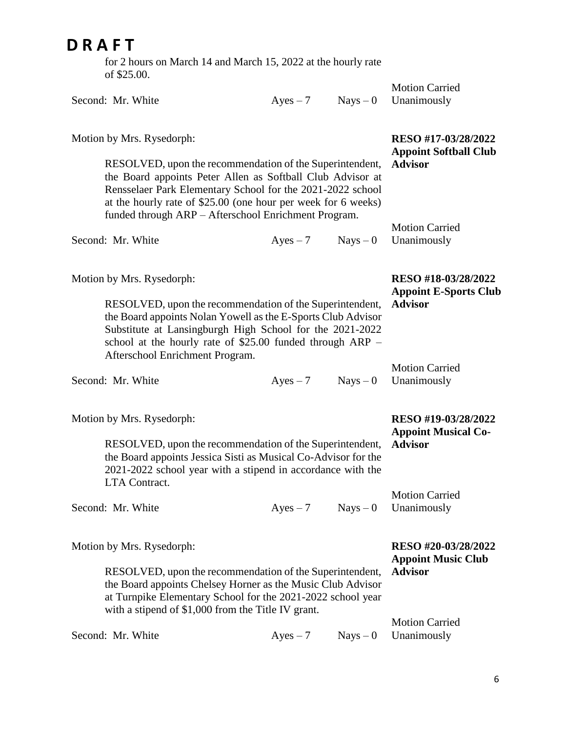for 2 hours on March 14 and March 15, 2022 at the hourly rate of \$25.00.

|                                                    | $Nays - 0$                      | <b>Motion Carried</b><br>Unanimously                                                                                                                                                                                                                                                                                                                                                                                                                                                                                                                                                                                                                                                                                                                                                                                                                                                                                                                                     |
|----------------------------------------------------|---------------------------------|--------------------------------------------------------------------------------------------------------------------------------------------------------------------------------------------------------------------------------------------------------------------------------------------------------------------------------------------------------------------------------------------------------------------------------------------------------------------------------------------------------------------------------------------------------------------------------------------------------------------------------------------------------------------------------------------------------------------------------------------------------------------------------------------------------------------------------------------------------------------------------------------------------------------------------------------------------------------------|
|                                                    |                                 | RESO #17-03/28/2022<br><b>Appoint Softball Club</b><br><b>Advisor</b>                                                                                                                                                                                                                                                                                                                                                                                                                                                                                                                                                                                                                                                                                                                                                                                                                                                                                                    |
| $Ayes - 7$                                         | $Nays - 0$                      | <b>Motion Carried</b><br>Unanimously                                                                                                                                                                                                                                                                                                                                                                                                                                                                                                                                                                                                                                                                                                                                                                                                                                                                                                                                     |
|                                                    |                                 | RESO #18-03/28/2022<br><b>Appoint E-Sports Club</b><br><b>Advisor</b>                                                                                                                                                                                                                                                                                                                                                                                                                                                                                                                                                                                                                                                                                                                                                                                                                                                                                                    |
| $Ayes - 7$                                         | $Nays - 0$                      | <b>Motion Carried</b><br>Unanimously                                                                                                                                                                                                                                                                                                                                                                                                                                                                                                                                                                                                                                                                                                                                                                                                                                                                                                                                     |
|                                                    |                                 | RESO #19-03/28/2022<br><b>Appoint Musical Co-</b><br><b>Advisor</b>                                                                                                                                                                                                                                                                                                                                                                                                                                                                                                                                                                                                                                                                                                                                                                                                                                                                                                      |
| $Ayes - 7$                                         | $Nays - 0$                      | <b>Motion Carried</b><br>Unanimously                                                                                                                                                                                                                                                                                                                                                                                                                                                                                                                                                                                                                                                                                                                                                                                                                                                                                                                                     |
| with a stipend of \$1,000 from the Title IV grant. |                                 | RESO #20-03/28/2022<br><b>Appoint Music Club</b><br><b>Advisor</b><br><b>Motion Carried</b>                                                                                                                                                                                                                                                                                                                                                                                                                                                                                                                                                                                                                                                                                                                                                                                                                                                                              |
|                                                    | Afterschool Enrichment Program. | $Ayes - 7$<br>RESOLVED, upon the recommendation of the Superintendent,<br>the Board appoints Peter Allen as Softball Club Advisor at<br>Rensselaer Park Elementary School for the 2021-2022 school<br>at the hourly rate of \$25.00 (one hour per week for 6 weeks)<br>funded through ARP - Afterschool Enrichment Program.<br>RESOLVED, upon the recommendation of the Superintendent,<br>the Board appoints Nolan Yowell as the E-Sports Club Advisor<br>Substitute at Lansingburgh High School for the 2021-2022<br>school at the hourly rate of $$25.00$ funded through ARP –<br>RESOLVED, upon the recommendation of the Superintendent,<br>the Board appoints Jessica Sisti as Musical Co-Advisor for the<br>2021-2022 school year with a stipend in accordance with the<br>RESOLVED, upon the recommendation of the Superintendent,<br>the Board appoints Chelsey Horner as the Music Club Advisor<br>at Turnpike Elementary School for the 2021-2022 school year |

Second: Mr. White  $Ayes - 7$  Nays – 0 Unanimously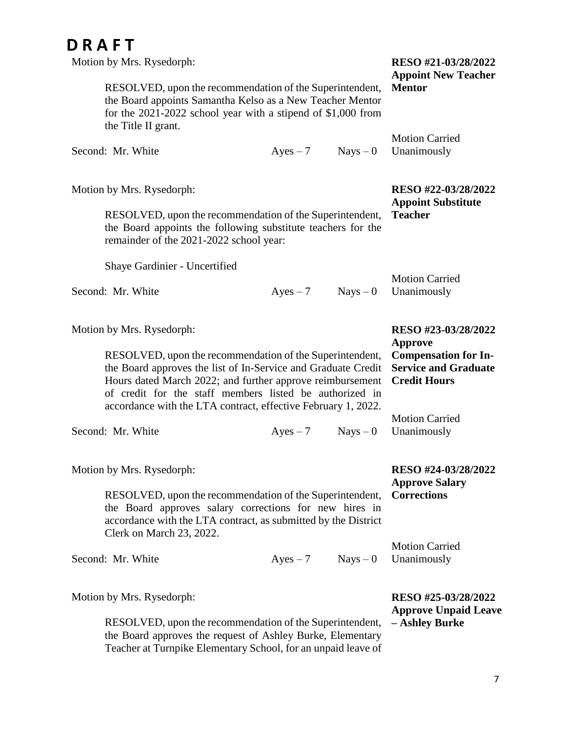| Motion by Mrs. Rysedorph:                                                                                                                                                                                                                                                      | RESO #21-03/28/2022<br><b>Appoint New Teacher</b>                                                                   |            |                                                                      |
|--------------------------------------------------------------------------------------------------------------------------------------------------------------------------------------------------------------------------------------------------------------------------------|---------------------------------------------------------------------------------------------------------------------|------------|----------------------------------------------------------------------|
| RESOLVED, upon the recommendation of the Superintendent,<br>the Board appoints Samantha Kelso as a New Teacher Mentor<br>for the 2021-2022 school year with a stipend of \$1,000 from<br>the Title II grant.                                                                   |                                                                                                                     |            | <b>Mentor</b>                                                        |
| Second: Mr. White                                                                                                                                                                                                                                                              | $Ayes - 7$                                                                                                          | $Nays - 0$ | <b>Motion Carried</b><br>Unanimously                                 |
| Motion by Mrs. Rysedorph:<br>RESOLVED, upon the recommendation of the Superintendent,<br>the Board appoints the following substitute teachers for the<br>remainder of the 2021-2022 school year:                                                                               |                                                                                                                     |            | RESO #22-03/28/2022<br><b>Appoint Substitute</b><br><b>Teacher</b>   |
| Shaye Gardinier - Uncertified                                                                                                                                                                                                                                                  |                                                                                                                     |            |                                                                      |
| Second: Mr. White                                                                                                                                                                                                                                                              | $Ayes - 7$                                                                                                          | $Nays - 0$ | <b>Motion Carried</b><br>Unanimously                                 |
| Motion by Mrs. Rysedorph:<br>RESOLVED, upon the recommendation of the Superintendent,<br>the Board approves the list of In-Service and Graduate Credit<br>Hours dated March 2022; and further approve reimbursement<br>of credit for the staff members listed be authorized in | RESO #23-03/28/2022<br>Approve<br><b>Compensation for In-</b><br><b>Service and Graduate</b><br><b>Credit Hours</b> |            |                                                                      |
| accordance with the LTA contract, effective February 1, 2022.<br>Second: Mr. White                                                                                                                                                                                             | $Ayes - 7$                                                                                                          | $Nays - 0$ | <b>Motion Carried</b><br>Unanimously                                 |
| Motion by Mrs. Rysedorph:<br>RESOLVED, upon the recommendation of the Superintendent,<br>the Board approves salary corrections for new hires in<br>accordance with the LTA contract, as submitted by the District                                                              | RESO #24-03/28/2022<br><b>Approve Salary</b><br><b>Corrections</b>                                                  |            |                                                                      |
| Clerk on March 23, 2022.<br>Second: Mr. White                                                                                                                                                                                                                                  | $Ayes - 7$                                                                                                          | $Nays - 0$ | <b>Motion Carried</b><br>Unanimously                                 |
| Motion by Mrs. Rysedorph:<br>RESOLVED, upon the recommendation of the Superintendent,<br>the Board approves the request of Ashley Burke, Elementary                                                                                                                            |                                                                                                                     |            | RESO #25-03/28/2022<br><b>Approve Unpaid Leave</b><br>- Ashley Burke |

Teacher at Turnpike Elementary School, for an unpaid leave of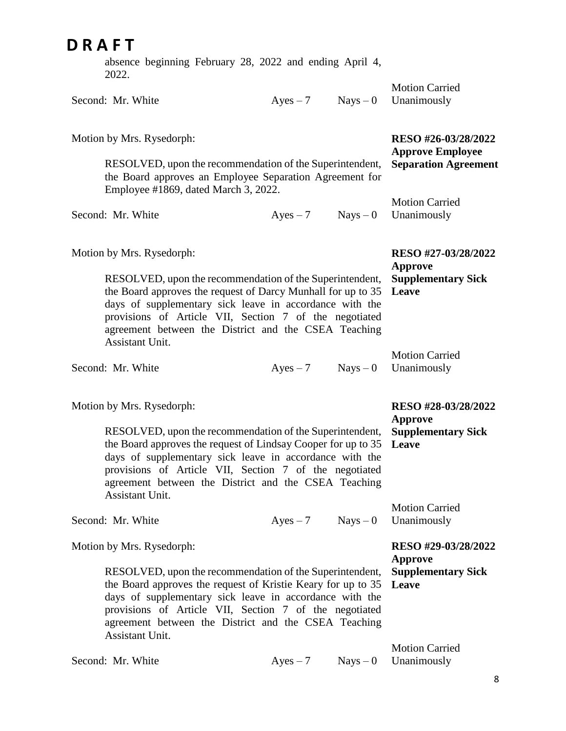#### **D R A F T** absence beginning February 28, 2022 and ending April 4, 2022. Second: Mr. White  $Ayes - 7$  Nays – 0 Motion by Mrs. Rysedorph: RESOLVED, upon the recommendation of the Superintendent, the Board approves an Employee Separation Agreement for Employee #1869, dated March 3, 2022. Second: Mr. White  $Ayes - 7$  Nays – 0 Motion by Mrs. Rysedorph: RESOLVED, upon the recommendation of the Superintendent, the Board approves the request of Darcy Munhall for up to 35 days of supplementary sick leave in accordance with the provisions of Article VII, Section 7 of the negotiated agreement between the District and the CSEA Teaching Assistant Unit. Second: Mr. White  $Ayes - 7$  Nays – 0 Motion by Mrs. Rysedorph: RESOLVED, upon the recommendation of the Superintendent, the Board approves the request of Lindsay Cooper for up to 35 days of supplementary sick leave in accordance with the provisions of Article VII, Section 7 of the negotiated agreement between the District and the CSEA Teaching Assistant Unit. Second: Mr. White  $Aves - 7$  Nays – 0 Motion by Mrs. Rysedorph: RESOLVED, upon the recommendation of the Superintendent, the Board approves the request of Kristie Keary for up to 35 days of supplementary sick leave in accordance with the provisions of Article VII, Section 7 of the negotiated agreement between the District and the CSEA Teaching Assistant Unit. Second: Mr. White  $Ayes - 7$  Nays – 0 Motion Carried Unanimously **RESO #26-03/28/2022 Approve Employee Separation Agreement** Motion Carried Unanimously **RESO #27-03/28/2022 Approve Supplementary Sick Leave** Motion Carried Unanimously **RESO #28-03/28/2022 Approve Supplementary Sick Leave** Motion Carried Unanimously **RESO #29-03/28/2022 Approve Supplementary Sick Leave** Motion Carried Unanimously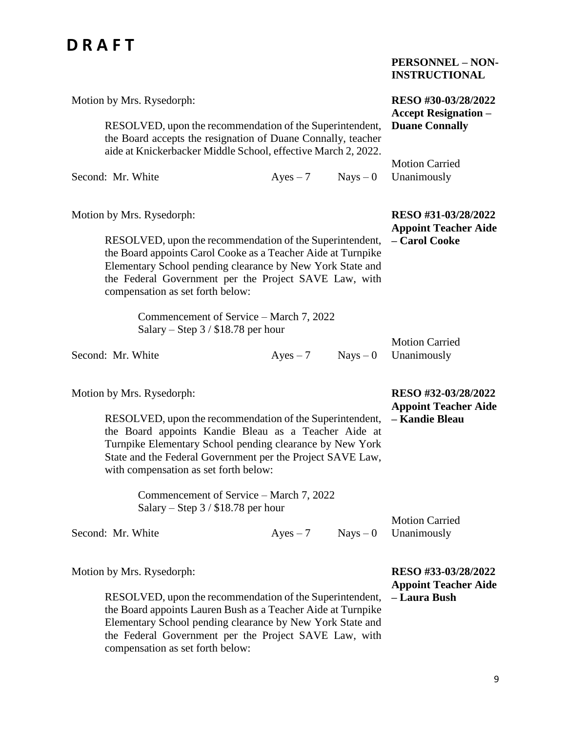|                                                                                                                                                                                                                                                                                                                  |                                                      |            | <b>PERSONNEL - NON-</b><br><b>INSTRUCTIONAL</b>                      |
|------------------------------------------------------------------------------------------------------------------------------------------------------------------------------------------------------------------------------------------------------------------------------------------------------------------|------------------------------------------------------|------------|----------------------------------------------------------------------|
| Motion by Mrs. Rysedorph:                                                                                                                                                                                                                                                                                        | RESO #30-03/28/2022                                  |            |                                                                      |
| RESOLVED, upon the recommendation of the Superintendent,<br>the Board accepts the resignation of Duane Connally, teacher<br>aide at Knickerbacker Middle School, effective March 2, 2022.                                                                                                                        | <b>Accept Resignation –</b><br><b>Duane Connally</b> |            |                                                                      |
| Second: Mr. White                                                                                                                                                                                                                                                                                                | $Ayes - 7$                                           | $Nays - 0$ | <b>Motion Carried</b><br>Unanimously                                 |
| Motion by Mrs. Rysedorph:<br>RESOLVED, upon the recommendation of the Superintendent,<br>the Board appoints Carol Cooke as a Teacher Aide at Turnpike<br>Elementary School pending clearance by New York State and<br>the Federal Government per the Project SAVE Law, with<br>compensation as set forth below:  |                                                      |            | RESO #31-03/28/2022<br><b>Appoint Teacher Aide</b><br>- Carol Cooke  |
| Commencement of Service – March 7, 2022<br>Salary – Step $3/$ \$18.78 per hour<br>Second: Mr. White                                                                                                                                                                                                              | $Ayes - 7$                                           | $Nays - 0$ | <b>Motion Carried</b><br>Unanimously                                 |
| Motion by Mrs. Rysedorph:<br>RESOLVED, upon the recommendation of the Superintendent,<br>the Board appoints Kandie Bleau as a Teacher Aide at<br>Turnpike Elementary School pending clearance by New York<br>State and the Federal Government per the Project SAVE Law,<br>with compensation as set forth below: |                                                      |            | RESO #32-03/28/2022<br><b>Appoint Teacher Aide</b><br>- Kandie Bleau |
| Commencement of Service – March 7, 2022<br>Salary – Step $3/$ \$18.78 per hour                                                                                                                                                                                                                                   |                                                      |            |                                                                      |
| Second: Mr. White                                                                                                                                                                                                                                                                                                | $Ayes - 7$                                           | $Nays - 0$ | <b>Motion Carried</b><br>Unanimously                                 |
| Motion by Mrs. Rysedorph:<br>RESOLVED, upon the recommendation of the Superintendent,<br>the Board appoints Lauren Bush as a Teacher Aide at Turnpike<br>Elementary School pending clearance by New York State and                                                                                               |                                                      |            | RESO #33-03/28/2022<br><b>Appoint Teacher Aide</b><br>- Laura Bush   |

the Federal Government per the Project SAVE Law, with

compensation as set forth below: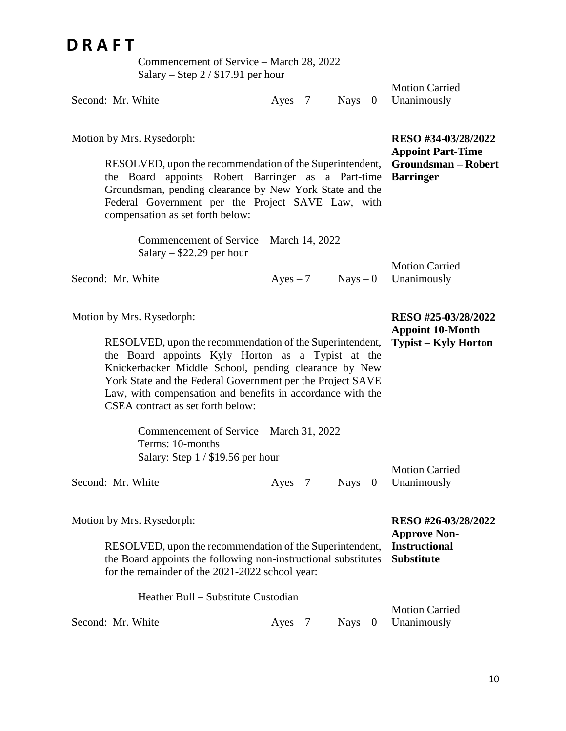Commencement of Service – March 28, 2022 Salary – Step 2 / \$17.91 per hour

Second: Mr. White  $Ayes - 7$  Nays – 0 Unanimously Motion Carried

> **RESO #34-03/28/2022 Appoint Part-Time**

Motion Carried

Motion Carried Unanimously

**RESO #26-03/28/2022**

**RESO #25-03/28/2022 Appoint 10-Month Typist – Kyly Horton**

Motion by Mrs. Rysedorph:

RESOLVED, upon the recommendation of the Superintendent, the Board appoints Robert Barringer as a Part-time Groundsman, pending clearance by New York State and the Federal Government per the Project SAVE Law, with compensation as set forth below: **Groundsman – Robert Barringer**

Commencement of Service – March 14, 2022 Salary – \$22.29 per hour

Second: Mr. White  $Ayes - 7$  Nays – 0 Unanimously

Motion by Mrs. Rysedorph:

RESOLVED, upon the recommendation of the Superintendent, the Board appoints Kyly Horton as a Typist at the Knickerbacker Middle School, pending clearance by New York State and the Federal Government per the Project SAVE Law, with compensation and benefits in accordance with the CSEA contract as set forth below:

> Commencement of Service – March 31, 2022 Terms: 10-months Salary: Step 1 / \$19.56 per hour

Second: Mr. White  $Ayes - 7$  Nays – 0

Heather Bull – Substitute Custodian

Motion by Mrs. Rysedorph:

RESOLVED, upon the recommendation of the Superintendent, the Board appoints the following non-instructional substitutes **Substitute** for the remainder of the 2021-2022 school year: **Approve Non-Instructional** 

|                   |  | <b>Motion Carried</b>             |
|-------------------|--|-----------------------------------|
| Second: Mr. White |  | $Ayes - 7$ $Nays - 0$ Unanimously |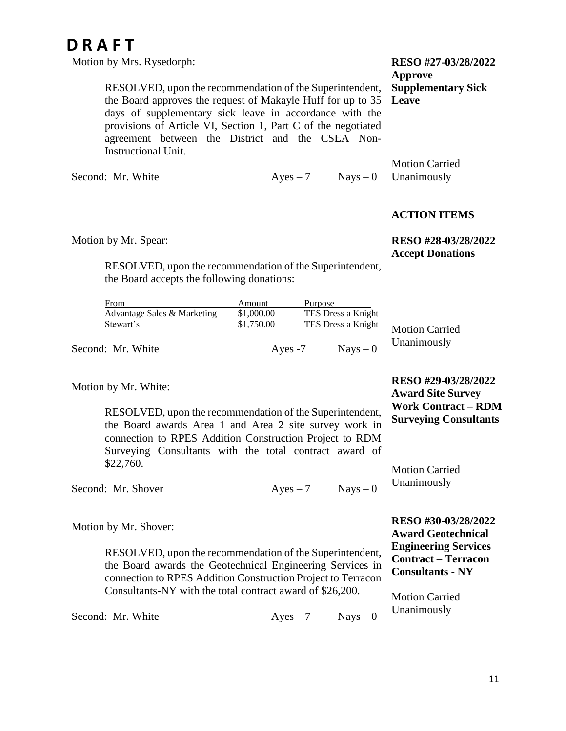Motion by Mrs. Rysedorph:

RESOLVED, upon the recommendation of the Superintendent, the Board approves the request of Makayle Huff for up to 35 days of supplementary sick leave in accordance with the provisions of Article VI, Section 1, Part C of the negotiated agreement between the District and the CSEA Non-Instructional Unit.

Second: Mr. White  $Ayes - 7$  Nays – 0

### **RESO #27-03/28/2022 Approve Supplementary Sick Leave**

Motion Carried Unanimously

### **ACTION ITEMS**

Motion by Mr. Spear:

RESOLVED, upon the recommendation of the Superintendent, the Board accepts the following donations:

| From                        | Amount     | Purpose            |                       |
|-----------------------------|------------|--------------------|-----------------------|
| Advantage Sales & Marketing | \$1,000.00 | TES Dress a Knight |                       |
| Stewart's                   | \$1,750.00 | TES Dress a Knight | <b>Motion Carried</b> |
| Second: Mr. White           | Ayes $-7$  | $Nays - 0$         | Unanimously           |

Motion by Mr. White:

RESOLVED, upon the recommendation of the Superintendent, the Board awards Area 1 and Area 2 site survey work in connection to RPES Addition Construction Project to RDM Surveying Consultants with the total contract award of \$22,760.

**Work Contract – RDM Surveying Consultants** Motion Carried Unanimously

Second: Mr. Shover  $Aves - 7$  Nays – 0

Motion by Mr. Shover:

RESOLVED, upon the recommendation of the Superintendent, the Board awards the Geotechnical Engineering Services in connection to RPES Addition Construction Project to Terracon Consultants-NY with the total contract award of \$26,200.

**RESO #30-03/28/2022 Award Geotechnical Engineering Services Contract – Terracon Consultants - NY**

Motion Carried Unanimously

Second: Mr. White  $Aves - 7$  Nays – 0

# **RESO #28-03/28/2022**

**Accept Donations**

**RESO #29-03/28/2022 Award Site Survey**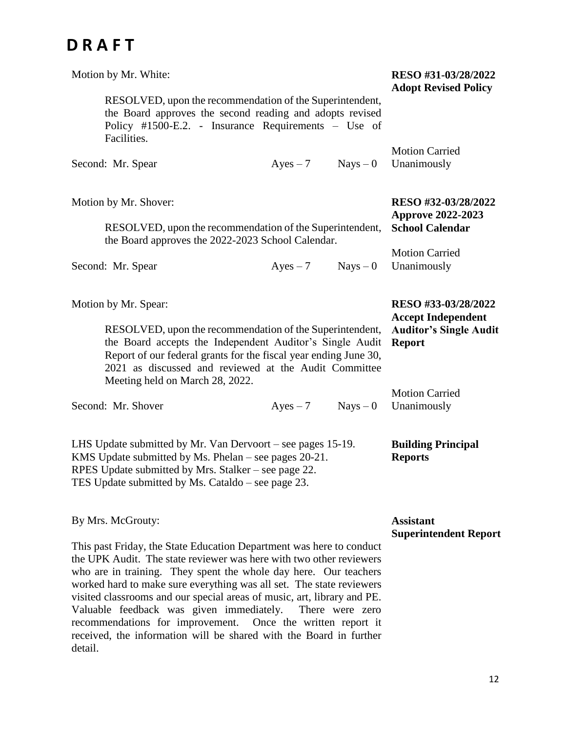detail.

| Motion by Mr. White:                                                                                                                                                                                                                                                                                                                                                                                                                                                                                                                                                     | RESO #31-03/28/2022<br><b>Adopt Revised Policy</b>                                                 |            |                                      |
|--------------------------------------------------------------------------------------------------------------------------------------------------------------------------------------------------------------------------------------------------------------------------------------------------------------------------------------------------------------------------------------------------------------------------------------------------------------------------------------------------------------------------------------------------------------------------|----------------------------------------------------------------------------------------------------|------------|--------------------------------------|
| RESOLVED, upon the recommendation of the Superintendent,<br>the Board approves the second reading and adopts revised<br>Policy #1500-E.2. - Insurance Requirements – Use of<br>Facilities.                                                                                                                                                                                                                                                                                                                                                                               |                                                                                                    |            |                                      |
| Second: Mr. Spear                                                                                                                                                                                                                                                                                                                                                                                                                                                                                                                                                        | $Ayes - 7$                                                                                         | $Nays - 0$ | <b>Motion Carried</b><br>Unanimously |
| Motion by Mr. Shover:<br>RESOLVED, upon the recommendation of the Superintendent,<br>the Board approves the 2022-2023 School Calendar.                                                                                                                                                                                                                                                                                                                                                                                                                                   | RESO #32-03/28/2022<br><b>Approve 2022-2023</b><br><b>School Calendar</b>                          |            |                                      |
| Second: Mr. Spear                                                                                                                                                                                                                                                                                                                                                                                                                                                                                                                                                        | $Ayes - 7$                                                                                         | $Nays - 0$ | <b>Motion Carried</b><br>Unanimously |
| Motion by Mr. Spear:<br>RESOLVED, upon the recommendation of the Superintendent,<br>the Board accepts the Independent Auditor's Single Audit<br>Report of our federal grants for the fiscal year ending June 30,<br>2021 as discussed and reviewed at the Audit Committee                                                                                                                                                                                                                                                                                                | RESO #33-03/28/2022<br><b>Accept Independent</b><br><b>Auditor's Single Audit</b><br><b>Report</b> |            |                                      |
| Meeting held on March 28, 2022.<br>Second: Mr. Shover                                                                                                                                                                                                                                                                                                                                                                                                                                                                                                                    | $Ayes - 7$                                                                                         | $Nays - 0$ | <b>Motion Carried</b><br>Unanimously |
| LHS Update submitted by Mr. Van Dervoort – see pages 15-19.<br>KMS Update submitted by Ms. Phelan – see pages 20-21.<br>RPES Update submitted by Mrs. Stalker – see page 22.<br>TES Update submitted by Ms. Cataldo – see page 23.                                                                                                                                                                                                                                                                                                                                       | <b>Building Principal</b><br><b>Reports</b>                                                        |            |                                      |
| By Mrs. McGrouty:<br>This past Friday, the State Education Department was here to conduct<br>the UPK Audit. The state reviewer was here with two other reviewers<br>who are in training. They spent the whole day here. Our teachers<br>worked hard to make sure everything was all set. The state reviewers<br>visited classrooms and our special areas of music, art, library and PE.<br>Valuable feedback was given immediately.<br>recommendations for improvement. Once the written report it<br>received, the information will be shared with the Board in further | <b>Assistant</b><br><b>Superintendent Report</b>                                                   |            |                                      |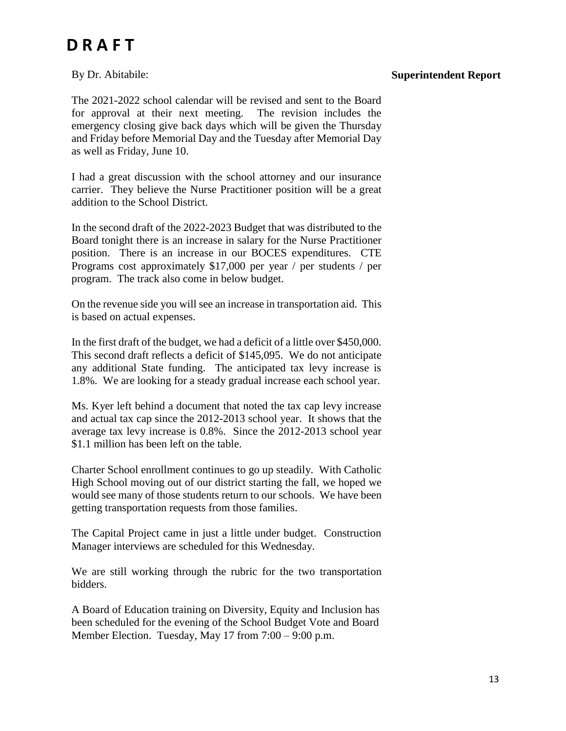### By Dr. Abitabile:

### **Superintendent Report**

The 2021-2022 school calendar will be revised and sent to the Board for approval at their next meeting. The revision includes the emergency closing give back days which will be given the Thursday and Friday before Memorial Day and the Tuesday after Memorial Day as well as Friday, June 10.

I had a great discussion with the school attorney and our insurance carrier. They believe the Nurse Practitioner position will be a great addition to the School District.

In the second draft of the 2022-2023 Budget that was distributed to the Board tonight there is an increase in salary for the Nurse Practitioner position. There is an increase in our BOCES expenditures. CTE Programs cost approximately \$17,000 per year / per students / per program. The track also come in below budget.

On the revenue side you will see an increase in transportation aid. This is based on actual expenses.

In the first draft of the budget, we had a deficit of a little over \$450,000. This second draft reflects a deficit of \$145,095. We do not anticipate any additional State funding. The anticipated tax levy increase is 1.8%. We are looking for a steady gradual increase each school year.

Ms. Kyer left behind a document that noted the tax cap levy increase and actual tax cap since the 2012-2013 school year. It shows that the average tax levy increase is 0.8%. Since the 2012-2013 school year \$1.1 million has been left on the table.

Charter School enrollment continues to go up steadily. With Catholic High School moving out of our district starting the fall, we hoped we would see many of those students return to our schools. We have been getting transportation requests from those families.

The Capital Project came in just a little under budget. Construction Manager interviews are scheduled for this Wednesday.

We are still working through the rubric for the two transportation bidders.

A Board of Education training on Diversity, Equity and Inclusion has been scheduled for the evening of the School Budget Vote and Board Member Election. Tuesday, May 17 from 7:00 – 9:00 p.m.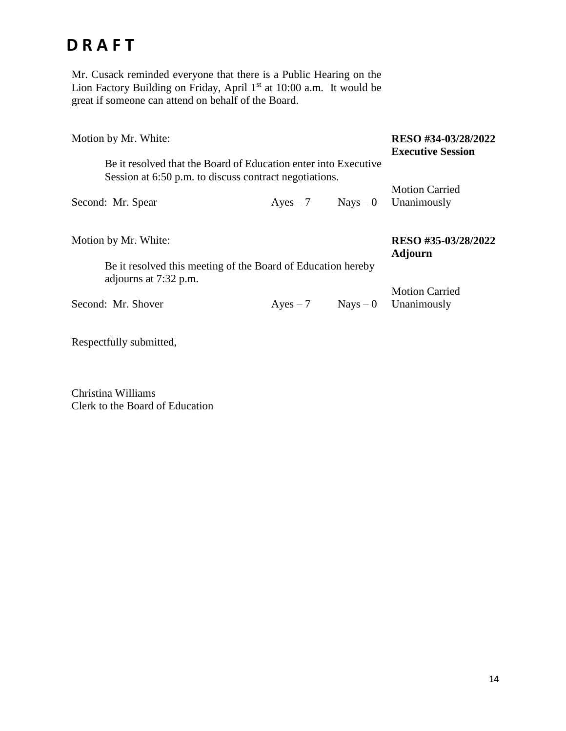Mr. Cusack reminded everyone that there is a Public Hearing on the Lion Factory Building on Friday, April 1<sup>st</sup> at 10:00 a.m. It would be great if someone can attend on behalf of the Board.

| Motion by Mr. White:                                                                                          | RESO #34-03/28/2022<br><b>Executive Session</b> |            |                       |
|---------------------------------------------------------------------------------------------------------------|-------------------------------------------------|------------|-----------------------|
| Be it resolved that the Board of Education enter into Executive                                               |                                                 |            |                       |
| Session at 6:50 p.m. to discuss contract negotiations.                                                        |                                                 |            |                       |
|                                                                                                               |                                                 |            | <b>Motion Carried</b> |
| Second: Mr. Spear                                                                                             | $Ayes - 7$                                      | $Nays - 0$ | Unanimously           |
| Motion by Mr. White:<br>Be it resolved this meeting of the Board of Education hereby<br>adjourns at 7:32 p.m. | RESO #35-03/28/2022<br><b>Adjourn</b>           |            |                       |
|                                                                                                               |                                                 |            | <b>Motion Carried</b> |
| Second: Mr. Shover                                                                                            | $Ayes - 7$                                      | $Nays - 0$ | Unanimously           |
|                                                                                                               |                                                 |            |                       |

Respectfully submitted,

Christina Williams Clerk to the Board of Education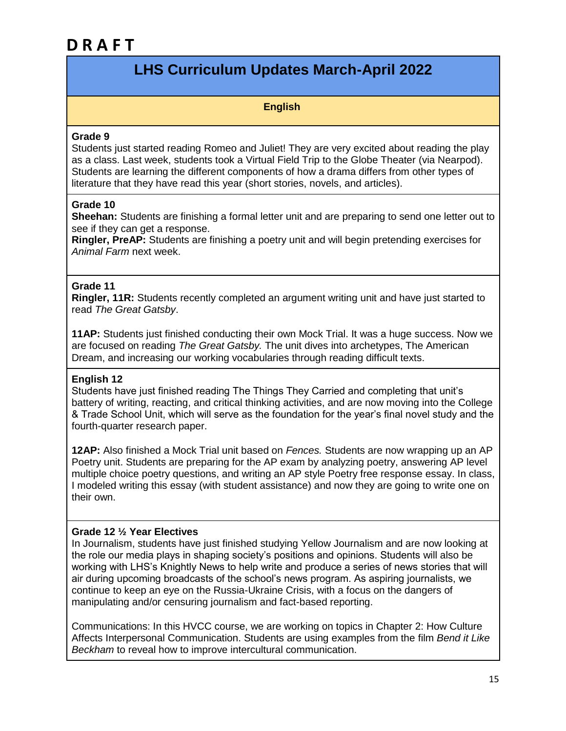### **LHS Curriculum Updates March-April 2022**

### **English**

#### **Grade 9**

Students just started reading Romeo and Juliet! They are very excited about reading the play as a class. Last week, students took a Virtual Field Trip to the Globe Theater (via Nearpod). Students are learning the different components of how a drama differs from other types of literature that they have read this year (short stories, novels, and articles).

### **Grade 10**

**Sheehan:** Students are finishing a formal letter unit and are preparing to send one letter out to see if they can get a response.

**Ringler, PreAP:** Students are finishing a poetry unit and will begin pretending exercises for *Animal Farm* next week.

### **Grade 11**

**Ringler, 11R:** Students recently completed an argument writing unit and have just started to read *The Great Gatsby*.

**11AP:** Students just finished conducting their own Mock Trial. It was a huge success. Now we are focused on reading *The Great Gatsby.* The unit dives into archetypes, The American Dream, and increasing our working vocabularies through reading difficult texts.

### **English 12**

Students have just finished reading The Things They Carried and completing that unit's battery of writing, reacting, and critical thinking activities, and are now moving into the College & Trade School Unit, which will serve as the foundation for the year's final novel study and the fourth-quarter research paper.

**12AP:** Also finished a Mock Trial unit based on *Fences.* Students are now wrapping up an AP Poetry unit. Students are preparing for the AP exam by analyzing poetry, answering AP level multiple choice poetry questions, and writing an AP style Poetry free response essay. In class, I modeled writing this essay (with student assistance) and now they are going to write one on their own.

### **Grade 12 ½ Year Electives**

In Journalism, students have just finished studying Yellow Journalism and are now looking at the role our media plays in shaping society's positions and opinions. Students will also be working with LHS's Knightly News to help write and produce a series of news stories that will air during upcoming broadcasts of the school's news program. As aspiring journalists, we continue to keep an eye on the Russia-Ukraine Crisis, with a focus on the dangers of manipulating and/or censuring journalism and fact-based reporting.

Communications: In this HVCC course, we are working on topics in Chapter 2: How Culture Affects Interpersonal Communication. Students are using examples from the film *Bend it Like Beckham* to reveal how to improve intercultural communication.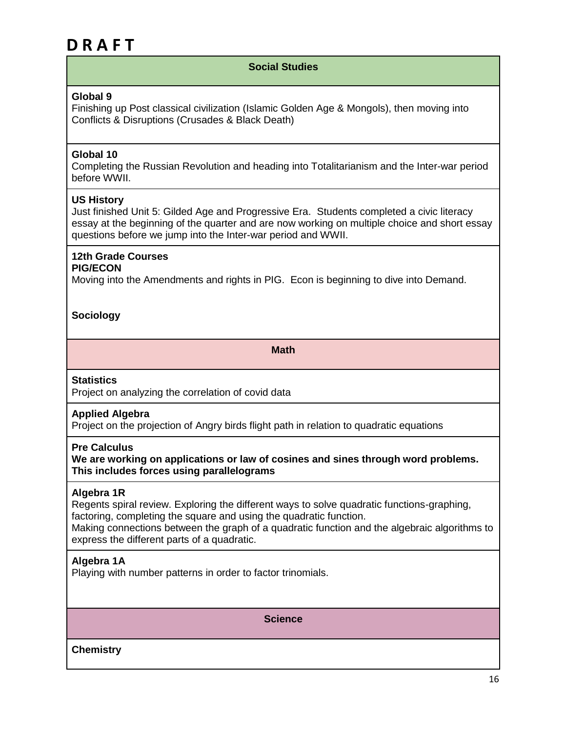### **Social Studies**

### **Global 9**

Finishing up Post classical civilization (Islamic Golden Age & Mongols), then moving into Conflicts & Disruptions (Crusades & Black Death)

### **Global 10**

Completing the Russian Revolution and heading into Totalitarianism and the Inter-war period before WWII.

#### **US History**

Just finished Unit 5: Gilded Age and Progressive Era. Students completed a civic literacy essay at the beginning of the quarter and are now working on multiple choice and short essay questions before we jump into the Inter-war period and WWII.

### **12th Grade Courses**

### **PIG/ECON**

Moving into the Amendments and rights in PIG. Econ is beginning to dive into Demand.

### **Sociology**

**Math**

#### **Statistics**

Project on analyzing the correlation of covid data

### **Applied Algebra**

Project on the projection of Angry birds flight path in relation to quadratic equations

#### **Pre Calculus**

**We are working on applications or law of cosines and sines through word problems. This includes forces using parallelograms**

#### **Algebra 1R**

Regents spiral review. Exploring the different ways to solve quadratic functions-graphing, factoring, completing the square and using the quadratic function. Making connections between the graph of a quadratic function and the algebraic algorithms to

express the different parts of a quadratic.

### **Algebra 1A**

Playing with number patterns in order to factor trinomials.

**Science**

**Chemistry**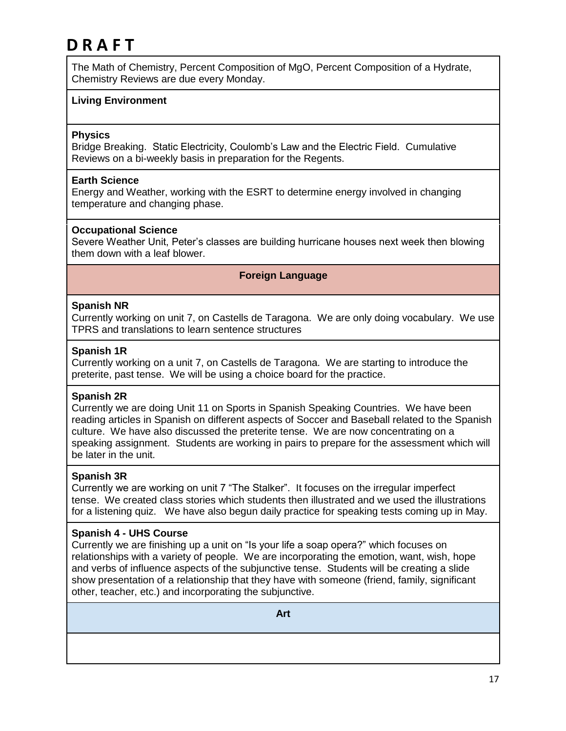The Math of Chemistry, Percent Composition of MgO, Percent Composition of a Hydrate, Chemistry Reviews are due every Monday.

### **Living Environment**

### **Physics**

Bridge Breaking. Static Electricity, Coulomb's Law and the Electric Field. Cumulative Reviews on a bi-weekly basis in preparation for the Regents.

#### **Earth Science**

Energy and Weather, working with the ESRT to determine energy involved in changing temperature and changing phase.

#### **Occupational Science**

Severe Weather Unit, Peter's classes are building hurricane houses next week then blowing them down with a leaf blower.

#### **Foreign Language**

#### **Spanish NR**

Currently working on unit 7, on Castells de Taragona. We are only doing vocabulary. We use TPRS and translations to learn sentence structures

#### **Spanish 1R**

Currently working on a unit 7, on Castells de Taragona. We are starting to introduce the preterite, past tense. We will be using a choice board for the practice.

#### **Spanish 2R**

Currently we are doing Unit 11 on Sports in Spanish Speaking Countries. We have been reading articles in Spanish on different aspects of Soccer and Baseball related to the Spanish culture. We have also discussed the preterite tense. We are now concentrating on a speaking assignment. Students are working in pairs to prepare for the assessment which will be later in the unit.

#### **Spanish 3R**

Currently we are working on unit 7 "The Stalker". It focuses on the irregular imperfect tense. We created class stories which students then illustrated and we used the illustrations for a listening quiz. We have also begun daily practice for speaking tests coming up in May.

### **Spanish 4 - UHS Course**

Currently we are finishing up a unit on "Is your life a soap opera?" which focuses on relationships with a variety of people. We are incorporating the emotion, want, wish, hope and verbs of influence aspects of the subjunctive tense. Students will be creating a slide show presentation of a relationship that they have with someone (friend, family, significant other, teacher, etc.) and incorporating the subjunctive.

**Art**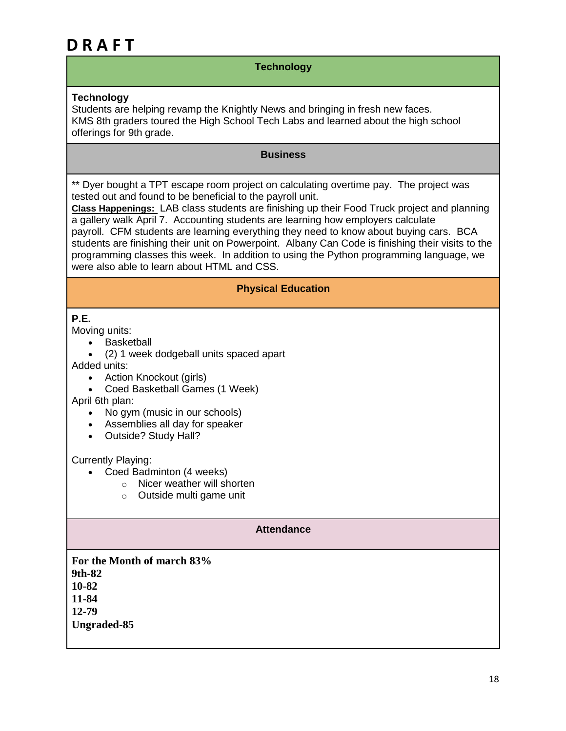### **Technology**

### **Technology**

Students are helping revamp the Knightly News and bringing in fresh new faces. KMS 8th graders toured the High School Tech Labs and learned about the high school offerings for 9th grade.

### **Business**

\*\* Dyer bought a TPT escape room project on calculating overtime pay. The project was tested out and found to be beneficial to the payroll unit.

**Class Happenings:** LAB class students are finishing up their Food Truck project and planning a gallery walk April 7. Accounting students are learning how employers calculate payroll. CFM students are learning everything they need to know about buying cars. BCA students are finishing their unit on Powerpoint. Albany Can Code is finishing their visits to the programming classes this week. In addition to using the Python programming language, we were also able to learn about HTML and CSS.

### **Physical Education**

### **P.E.**

Moving units:

- Basketball
- (2) 1 week dodgeball units spaced apart

Added units:

- Action Knockout (girls)
- Coed Basketball Games (1 Week)

April 6th plan:

- No gym (music in our schools)
- Assemblies all day for speaker
- Outside? Study Hall?

### Currently Playing:

- Coed Badminton (4 weeks)
	- o Nicer weather will shorten
		- o Outside multi game unit

### **Attendance**

**For the Month of march 83% 9th-82 10-82 11-84 12-79 Ungraded-85**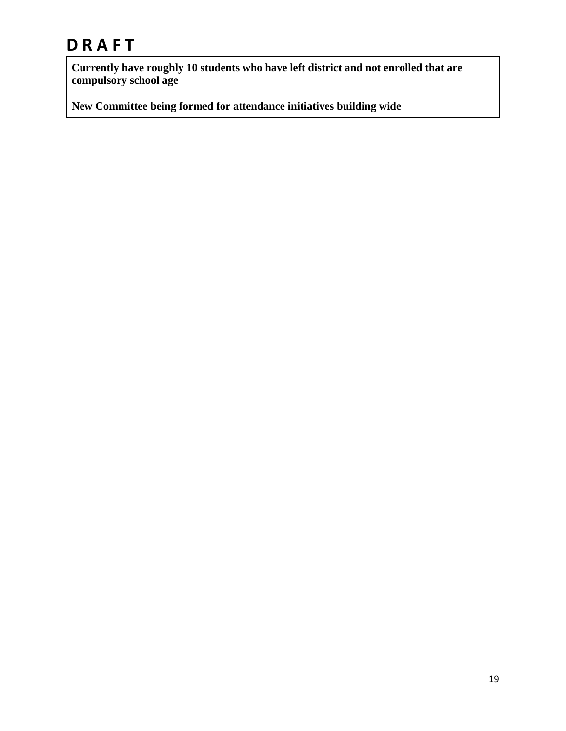**Currently have roughly 10 students who have left district and not enrolled that are compulsory school age**

**New Committee being formed for attendance initiatives building wide**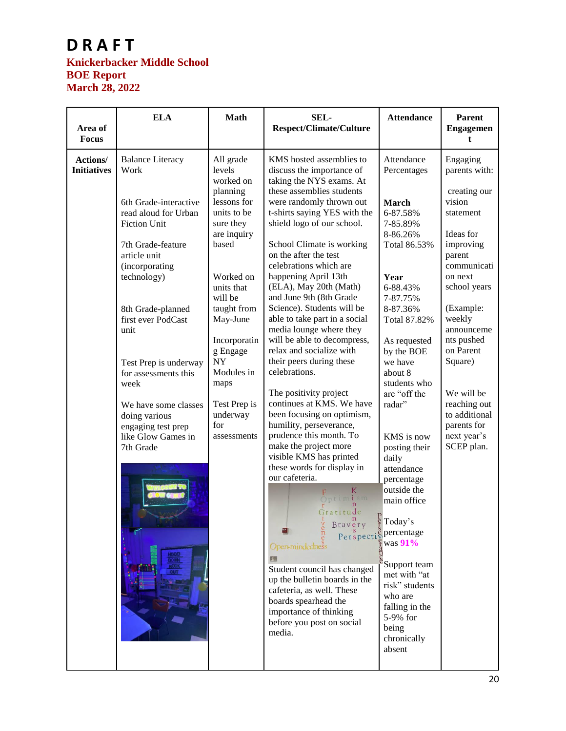### **Knickerbacker Middle School BOE Report March 28, 2022**

| Area of<br><b>Focus</b>        | <b>ELA</b>                                                                                                                                                                                                                                                                                                                                                                                  | <b>Math</b>                                                                                                                                                                                                                                                                                       | SEL-<br><b>Respect/Climate/Culture</b>                                                                                                                                                                                                                                                                                                                                                                                                                                                                                                                                                                                                                                                                                                                                                                                                                                                                                                                                                                                                                                                | <b>Attendance</b>                                                                                                                                                                                                                                                                                                                                                                                                                                                                                                                        | <b>Parent</b><br><b>Engagemen</b><br>t                                                                                                                                                                                                                                                                               |
|--------------------------------|---------------------------------------------------------------------------------------------------------------------------------------------------------------------------------------------------------------------------------------------------------------------------------------------------------------------------------------------------------------------------------------------|---------------------------------------------------------------------------------------------------------------------------------------------------------------------------------------------------------------------------------------------------------------------------------------------------|---------------------------------------------------------------------------------------------------------------------------------------------------------------------------------------------------------------------------------------------------------------------------------------------------------------------------------------------------------------------------------------------------------------------------------------------------------------------------------------------------------------------------------------------------------------------------------------------------------------------------------------------------------------------------------------------------------------------------------------------------------------------------------------------------------------------------------------------------------------------------------------------------------------------------------------------------------------------------------------------------------------------------------------------------------------------------------------|------------------------------------------------------------------------------------------------------------------------------------------------------------------------------------------------------------------------------------------------------------------------------------------------------------------------------------------------------------------------------------------------------------------------------------------------------------------------------------------------------------------------------------------|----------------------------------------------------------------------------------------------------------------------------------------------------------------------------------------------------------------------------------------------------------------------------------------------------------------------|
| Actions/<br><b>Initiatives</b> | <b>Balance Literacy</b><br>Work<br>6th Grade-interactive<br>read aloud for Urban<br><b>Fiction Unit</b><br>7th Grade-feature<br>article unit<br>(incorporating<br>technology)<br>8th Grade-planned<br>first ever PodCast<br>unit<br>Test Prep is underway<br>for assessments this<br>week<br>We have some classes<br>doing various<br>engaging test prep<br>like Glow Games in<br>7th Grade | All grade<br>levels<br>worked on<br>planning<br>lessons for<br>units to be<br>sure they<br>are inquiry<br>based<br>Worked on<br>units that<br>will be<br>taught from<br>May-June<br>Incorporatin<br>g Engage<br><b>NY</b><br>Modules in<br>maps<br>Test Prep is<br>underway<br>for<br>assessments | KMS hosted assemblies to<br>discuss the importance of<br>taking the NYS exams. At<br>these assemblies students<br>were randomly thrown out<br>t-shirts saying YES with the<br>shield logo of our school.<br>School Climate is working<br>on the after the test<br>celebrations which are<br>happening April 13th<br>(ELA), May 20th (Math)<br>and June 9th (8th Grade<br>Science). Students will be<br>able to take part in a social<br>media lounge where they<br>will be able to decompress,<br>relax and socialize with<br>their peers during these<br>celebrations.<br>The positivity project<br>continues at KMS. We have<br>been focusing on optimism,<br>humility, perseverance,<br>prudence this month. To<br>make the project more<br>visible KMS has printed<br>these words for display in<br>our cafeteria.<br>K<br>Optimism<br>Gratitude<br>Bravery<br>Perspecti<br>Open-mindedness<br>Student council has changed<br>up the bulletin boards in the<br>cafeteria, as well. These<br>boards spearhead the<br>importance of thinking<br>before you post on social<br>media. | Attendance<br>Percentages<br><b>March</b><br>6-87.58%<br>7-85.89%<br>8-86.26%<br>Total 86.53%<br>Year<br>6-88.43%<br>7-87.75%<br>8-87.36%<br>Total 87.82%<br>As requested<br>by the BOE<br>we have<br>about 8<br>students who<br>are "off the<br>radar"<br>KMS is now<br>posting their<br>daily<br>attendance<br>percentage<br>outside the<br>main office<br>$\frac{P}{f}$ Today's<br>percentage<br>was 91%<br>Support team<br>met with "at<br>risk" students<br>who are<br>falling in the<br>5-9% for<br>being<br>chronically<br>absent | Engaging<br>parents with:<br>creating our<br>vision<br>statement<br>Ideas for<br>improving<br>parent<br>communicati<br>on next<br>school years<br>(Example:<br>weekly<br>announceme<br>nts pushed<br>on Parent<br>Square)<br>We will be<br>reaching out<br>to additional<br>parents for<br>next year's<br>SCEP plan. |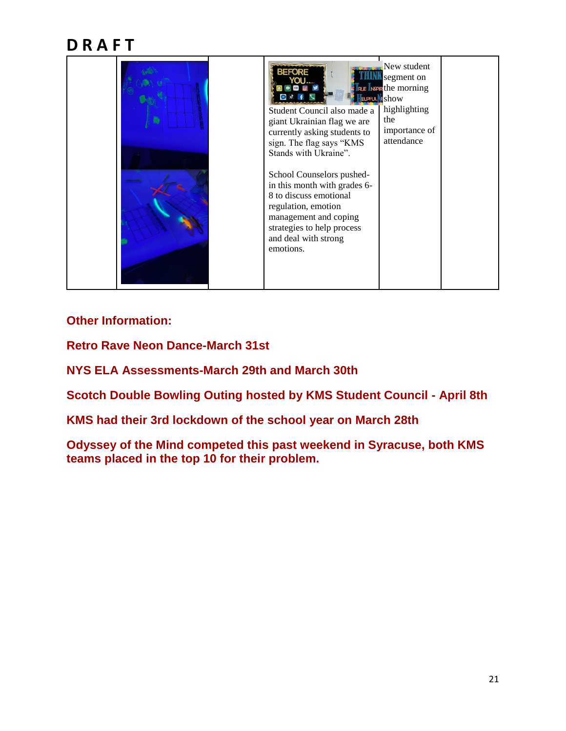

### **Other Information:**

**Retro Rave Neon Dance-March 31st**

**NYS ELA Assessments-March 29th and March 30th**

**Scotch Double Bowling Outing hosted by KMS Student Council - April 8th**

**KMS had their 3rd lockdown of the school year on March 28th**

**Odyssey of the Mind competed this past weekend in Syracuse, both KMS teams placed in the top 10 for their problem.**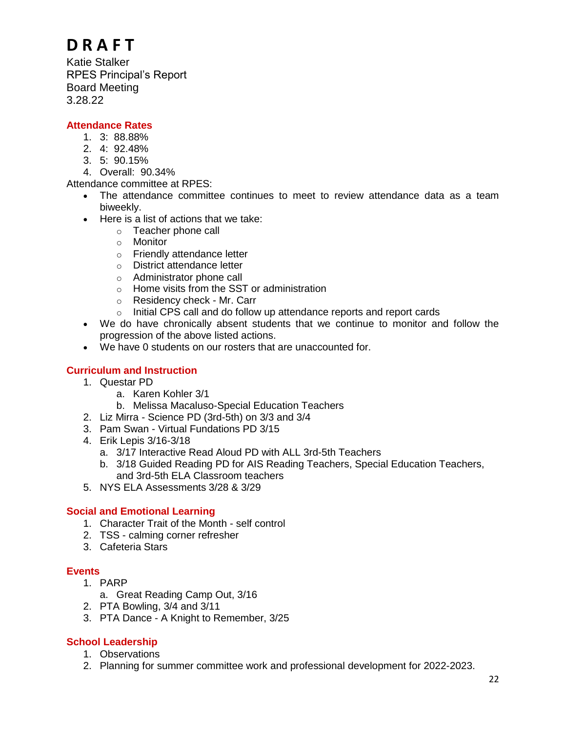Katie Stalker RPES Principal's Report Board Meeting 3.28.22

### **Attendance Rates**

- 1. 3: 88.88%
- 2. 4: 92.48%
- 3. 5: 90.15%
- 4. Overall: 90.34%

Attendance committee at RPES:

- The attendance committee continues to meet to review attendance data as a team biweekly.
- Here is a list of actions that we take:
	- o Teacher phone call
	- o Monitor
	- o Friendly attendance letter
	- o District attendance letter
	- o Administrator phone call
	- o Home visits from the SST or administration
	- o Residency check Mr. Carr
	- $\circ$  Initial CPS call and do follow up attendance reports and report cards
- We do have chronically absent students that we continue to monitor and follow the progression of the above listed actions.
- We have 0 students on our rosters that are unaccounted for.

### **Curriculum and Instruction**

- 1. Questar PD
	- a. Karen Kohler 3/1
	- b. Melissa Macaluso-Special Education Teachers
- 2. Liz Mirra Science PD (3rd-5th) on 3/3 and 3/4
- 3. Pam Swan Virtual Fundations PD 3/15
- 4. Erik Lepis 3/16-3/18
	- a. 3/17 Interactive Read Aloud PD with ALL 3rd-5th Teachers
	- b. 3/18 Guided Reading PD for AIS Reading Teachers, Special Education Teachers, and 3rd-5th ELA Classroom teachers
- 5. NYS ELA Assessments 3/28 & 3/29

### **Social and Emotional Learning**

- 1. Character Trait of the Month self control
- 2. TSS calming corner refresher
- 3. Cafeteria Stars

### **Events**

- 1. PARP
	- a. Great Reading Camp Out, 3/16
- 2. PTA Bowling, 3/4 and 3/11
- 3. PTA Dance A Knight to Remember, 3/25

### **School Leadership**

- 1. Observations
- 2. Planning for summer committee work and professional development for 2022-2023.